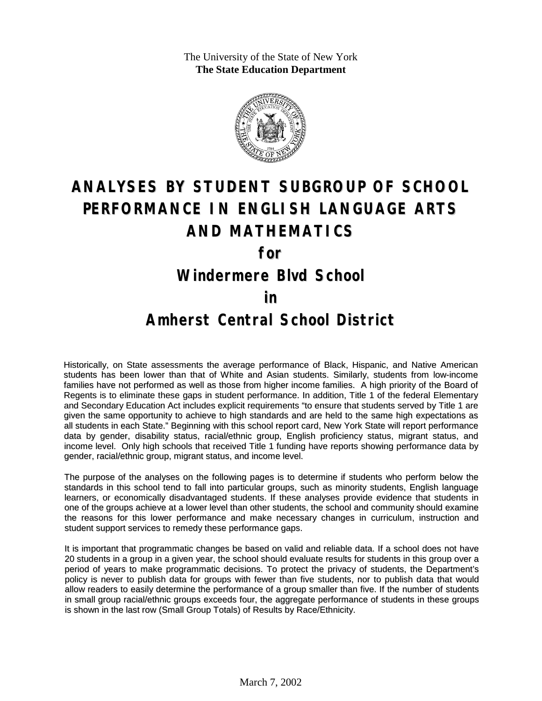The University of the State of New York **The State Education Department**



# **ANALYSES BY STUDENT SUBGROUP OF SCHOOL PERFORMANCE IN ENGLISH LANGUAGE ARTS AND MATHEMATICS**

**for**

### **Windermere Blvd School**

#### **in**

### **Amherst Central School District**

Historically, on State assessments the average performance of Black, Hispanic, and Native American students has been lower than that of White and Asian students. Similarly, students from low-income families have not performed as well as those from higher income families. A high priority of the Board of Regents is to eliminate these gaps in student performance. In addition, Title 1 of the federal Elementary and Secondary Education Act includes explicit requirements "to ensure that students served by Title 1 are given the same opportunity to achieve to high standards and are held to the same high expectations as all students in each State." Beginning with this school report card, New York State will report performance data by gender, disability status, racial/ethnic group, English proficiency status, migrant status, and income level. Only high schools that received Title 1 funding have reports showing performance data by gender, racial/ethnic group, migrant status, and income level.

The purpose of the analyses on the following pages is to determine if students who perform below the standards in this school tend to fall into particular groups, such as minority students, English language learners, or economically disadvantaged students. If these analyses provide evidence that students in one of the groups achieve at a lower level than other students, the school and community should examine the reasons for this lower performance and make necessary changes in curriculum, instruction and student support services to remedy these performance gaps.

It is important that programmatic changes be based on valid and reliable data. If a school does not have 20 students in a group in a given year, the school should evaluate results for students in this group over a period of years to make programmatic decisions. To protect the privacy of students, the Department's policy is never to publish data for groups with fewer than five students, nor to publish data that would allow readers to easily determine the performance of a group smaller than five. If the number of students in small group racial/ethnic groups exceeds four, the aggregate performance of students in these groups is shown in the last row (Small Group Totals) of Results by Race/Ethnicity.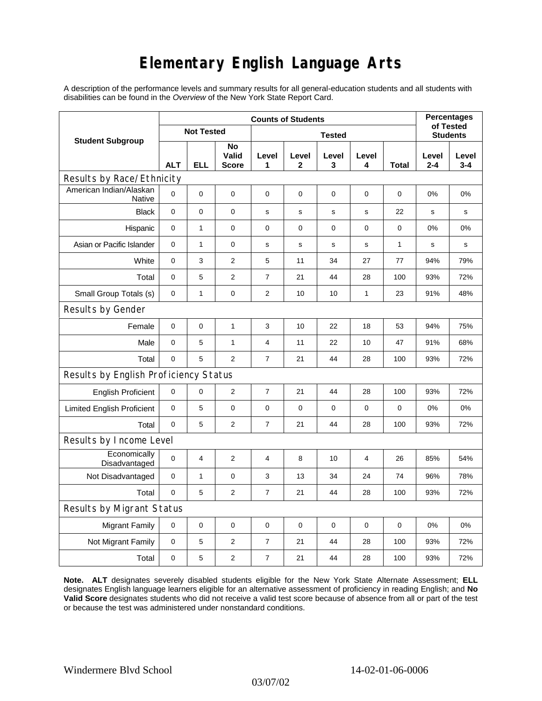## **Elementary English Language Arts**

A description of the performance levels and summary results for all general-education students and all students with disabilities can be found in the *Overview* of the New York State Report Card.

| <b>Student Subgroup</b>                  | <b>Counts of Students</b> |              |                             |                         |             |             |                |             | <b>Percentages</b><br>of Tested |                  |
|------------------------------------------|---------------------------|--------------|-----------------------------|-------------------------|-------------|-------------|----------------|-------------|---------------------------------|------------------|
|                                          | <b>Not Tested</b>         |              |                             | <b>Tested</b>           |             |             |                |             | <b>Students</b>                 |                  |
|                                          | <b>ALT</b>                | ELL          | No<br>Valid<br><b>Score</b> | Level<br>1              | Level<br>2  | Level<br>3  | Level<br>4     | Total       | Level<br>$2 - 4$                | Level<br>$3 - 4$ |
| Results by Race/Ethnicity                |                           |              |                             |                         |             |             |                |             |                                 |                  |
| American Indian/Alaskan<br><b>Native</b> | $\mathbf 0$               | 0            | 0                           | $\mathbf 0$             | $\mathbf 0$ | $\mathbf 0$ | 0              | $\mathbf 0$ | 0%                              | 0%               |
| <b>Black</b>                             | $\mathbf 0$               | 0            | 0                           | s                       | s           | $\mathbf s$ | $\mathbf s$    | 22          | $\mathbf s$                     | $\mathbf s$      |
| Hispanic                                 | $\mathbf 0$               | $\mathbf{1}$ | $\pmb{0}$                   | $\pmb{0}$               | 0           | $\pmb{0}$   | $\pmb{0}$      | 0           | 0%                              | 0%               |
| Asian or Pacific Islander                | 0                         | 1            | $\mathbf 0$                 | s                       | $\mathbf s$ | $\mathbf s$ | s              | 1           | s                               | s                |
| White                                    | $\pmb{0}$                 | 3            | $\overline{2}$              | 5                       | 11          | 34          | 27             | 77          | 94%                             | 79%              |
| Total                                    | 0                         | 5            | $\overline{2}$              | 7                       | 21          | 44          | 28             | 100         | 93%                             | 72%              |
| Small Group Totals (s)                   | 0                         | 1            | 0                           | 2                       | 10          | 10          | 1              | 23          | 91%                             | 48%              |
| Results by Gender                        |                           |              |                             |                         |             |             |                |             |                                 |                  |
| Female                                   | $\mathbf 0$               | 0            | $\mathbf{1}$                | 3                       | 10          | 22          | 18             | 53          | 94%                             | 75%              |
| Male                                     | $\mathbf 0$               | 5            | $\mathbf{1}$                | $\overline{\mathbf{4}}$ | 11          | 22          | 10             | 47          | 91%                             | 68%              |
| Total                                    | 0                         | 5            | 2                           | $\overline{7}$          | 21          | 44          | 28             | 100         | 93%                             | 72%              |
| Results by English Proficiency Status    |                           |              |                             |                         |             |             |                |             |                                 |                  |
| <b>English Proficient</b>                | 0                         | 0            | $\overline{2}$              | $\overline{7}$          | 21          | 44          | 28             | 100         | 93%                             | 72%              |
| <b>Limited English Proficient</b>        | 0                         | 5            | $\pmb{0}$                   | $\pmb{0}$               | $\mathbf 0$ | $\mathbf 0$ | $\mathbf 0$    | 0           | 0%                              | 0%               |
| Total                                    | $\mathbf 0$               | 5            | $\overline{2}$              | 7                       | 21          | 44          | 28             | 100         | 93%                             | 72%              |
| Results by Income Level                  |                           |              |                             |                         |             |             |                |             |                                 |                  |
| Economically<br>Disadvantaged            | $\mathbf 0$               | 4            | $\overline{2}$              | 4                       | 8           | 10          | $\overline{4}$ | 26          | 85%                             | 54%              |
| Not Disadvantaged                        | $\mathbf 0$               | 1            | 0                           | 3                       | 13          | 34          | 24             | 74          | 96%                             | 78%              |
| Total                                    | $\mathbf 0$               | 5            | $\overline{2}$              | $\overline{7}$          | 21          | 44          | 28             | 100         | 93%                             | 72%              |
| Results by Migrant Status                |                           |              |                             |                         |             |             |                |             |                                 |                  |
| <b>Migrant Family</b>                    | 0                         | 0            | 0                           | 0                       | 0           | $\mathbf 0$ | 0              | 0           | 0%                              | 0%               |
| Not Migrant Family                       | 0                         | 5            | 2                           | $\overline{7}$          | 21          | 44          | 28             | 100         | 93%                             | 72%              |
| Total                                    | 0                         | 5            | 2                           | $\overline{7}$          | 21          | 44          | 28             | 100         | 93%                             | 72%              |

**Note. ALT** designates severely disabled students eligible for the New York State Alternate Assessment; **ELL** designates English language learners eligible for an alternative assessment of proficiency in reading English; and **No Valid Score** designates students who did not receive a valid test score because of absence from all or part of the test or because the test was administered under nonstandard conditions.